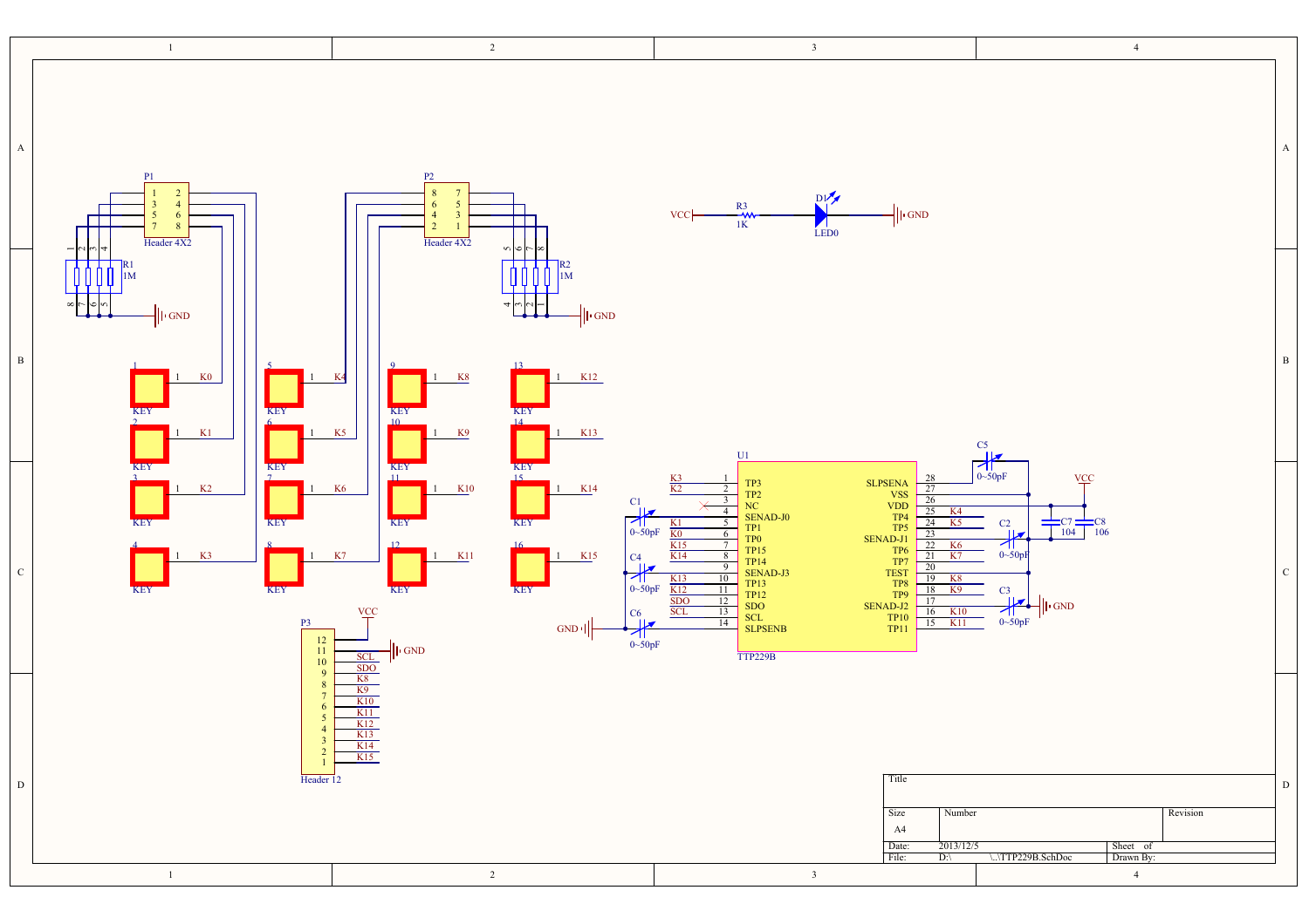